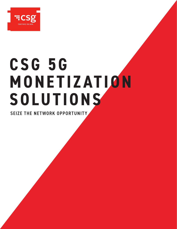

# **C S G 5G M O N E T IZ AT IO N SOLUTIONS**

SEIZE THE NETWORK OPPORTUNITY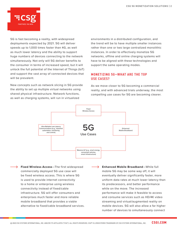

5G is fast becoming a reality, with widespread deployments expected by 2021. 5G will deliver speeds up to 1,000 times faster than 4G, as well as much lower latency and the ability to support huge numbers of devices connecting to the network simultaneously. Not only will 5G deliver benefits to the consumer in terms of increased speed, but it will unlock the full potential of the Internet of Things (IoT) and support the vast array of connected devices that will be prevalent.

New concepts such as network slicing in 5G provide the ability to set up multiple virtual networks using shared physical infrastructure. Network functions, as well as charging systems, will run in virtualized

environments in a distributed configuration, and the trend will be to have multiple smaller instances rather than one or two large centralized monolithic instances. In order to effectively monetize 5G networks, offline and online charging systems will have to be aligned with these technologies and support the same operating modes.

## MONE TIZING 5G—WHAT ARE THE TOP USE CASES?

As we move closer to 5G becoming a commercial reality, and with advanced trials underway, the most compelling use cases for 5G are becoming clearer.



 **Fixed Wireless Access**—The first widespread commercially deployed 5G use case will be fixed wireless access. This is where 5G is used to provide internet connectivity to a home or enterprise using wireless connectivity instead of fixed/cable infrastructure. 5G will offer consumers and enterprises much faster and more reliable mobile broadband that provides a viable alternative to fixed/cable broadband services.

 **Enhanced Mobile Broadband**—While full mobile 5G may be some way off, it will eventually deliver significantly faster, more uniform data rates at much lower latency than its predecessors, and better performance while on the move. The increased performance will make it feasible to access and consume services such as HD/4K video streaming and virtual/augmented reality on mobile devices. 5G will also allow a far higher number of devices to simultaneously connect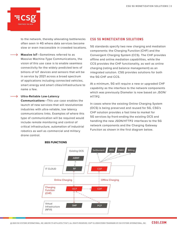

to the network, thereby alleviating bottlenecks often seen in 4G where data services become slow or even inaccessible in crowded locations.

 **Massive IoT**—Sometimes referred to as Massive Machine-Type Communications, the vision of this use case is to enable seamless connectivity for the widely predicted tens of billions of IoT devices and sensors that will be in service by 2021 across a broad spectrum of applications including connected vehicles, smart energy and smart cities/infrastructure to name a few.

#### **Ultra-Reliable Low-Latency**

**Communications**—This use case enables the launch of new services that will revolutionize industries with ultra-reliable, low latency communications links. Examples of where this type of communication will be required would include remote monitoring and control of critical infrastructure, automation of industrial robotics as well as commercial and military drone control.

### CSG 5G MONETIZATION SOLUTIONS

5G standards specify two new charging and mediation components: the Charging Function (CHF) and the Convergent Charging System (CCS). The CHF provides offline and online mediation capabilities, while the CCS provides the CHF functionality, as well as online charging (rating and balance management) as an integrated solution. CSG provides solutions for both the 5G CHF and CCS.

At a minimum, 5G will require a new or upgraded CHF capability as the interface to the network components which was previously Diameter is now based on JSON/ HTTP2.

In cases where the existing Online Charging System (OCS) is being preserved and reused for 5G, CSG's CHF solution provides a fast time to market for 5G services by front-ending the existing OCS and handling the new JSON/HTTP2 interfaces to the 5G network components and the Charging Gateway Function as shown in the first diagram below.



#### **BSS FUNCTIONS**